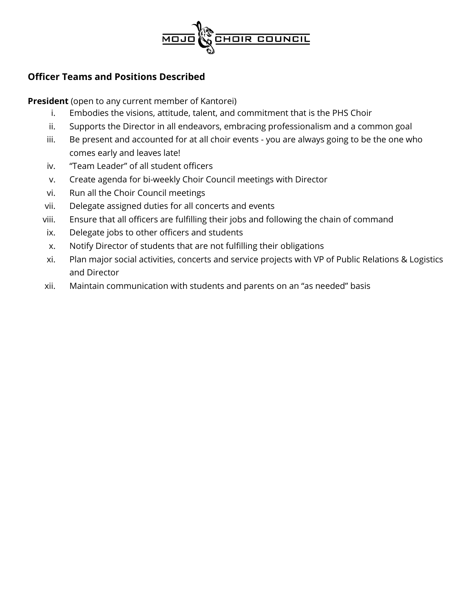

# **Officer Teams and Positions Described**

**President** (open to any current member of Kantorei)

- i. Embodies the visions, attitude, talent, and commitment that is the PHS Choir
- ii. Supports the Director in all endeavors, embracing professionalism and a common goal
- iii. Be present and accounted for at all choir events you are always going to be the one who comes early and leaves late!
- iv. "Team Leader" of all student officers
- v. Create agenda for bi-weekly Choir Council meetings with Director
- vi. Run all the Choir Council meetings
- vii. Delegate assigned duties for all concerts and events
- viii. Ensure that all officers are fulfilling their jobs and following the chain of command
- ix. Delegate jobs to other officers and students
- x. Notify Director of students that are not fulfilling their obligations
- xi. Plan major social activities, concerts and service projects with VP of Public Relations & Logistics and Director
- xii. Maintain communication with students and parents on an "as needed" basis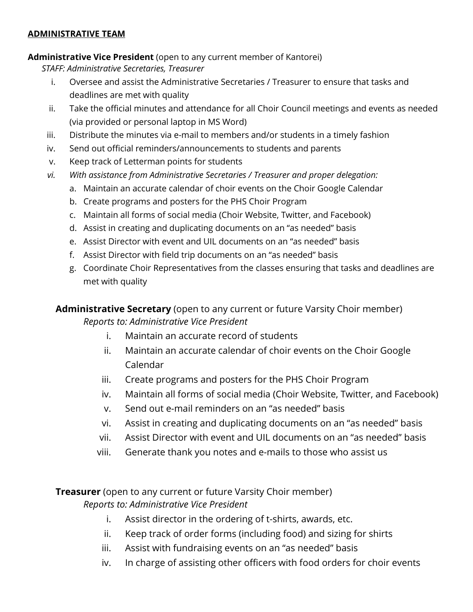### **ADMINISTRATIVE TEAM**

### **Administrative Vice President** (open to any current member of Kantorei)

*STAFF: Administrative Secretaries, Treasurer*

- i. Oversee and assist the Administrative Secretaries / Treasurer to ensure that tasks and deadlines are met with quality
- ii. Take the official minutes and attendance for all Choir Council meetings and events as needed (via provided or personal laptop in MS Word)
- iii. Distribute the minutes via e-mail to members and/or students in a timely fashion
- iv. Send out official reminders/announcements to students and parents
- v. Keep track of Letterman points for students
- *vi. With assistance from Administrative Secretaries / Treasurer and proper delegation:* 
	- a. Maintain an accurate calendar of choir events on the Choir Google Calendar
	- b. Create programs and posters for the PHS Choir Program
	- c. Maintain all forms of social media (Choir Website, Twitter, and Facebook)
	- d. Assist in creating and duplicating documents on an "as needed" basis
	- e. Assist Director with event and UIL documents on an "as needed" basis
	- f. Assist Director with field trip documents on an "as needed" basis
	- g. Coordinate Choir Representatives from the classes ensuring that tasks and deadlines are met with quality

**Administrative Secretary** (open to any current or future Varsity Choir member) *Reports to: Administrative Vice President*

- i. Maintain an accurate record of students
- ii. Maintain an accurate calendar of choir events on the Choir Google Calendar
- iii. Create programs and posters for the PHS Choir Program
- iv. Maintain all forms of social media (Choir Website, Twitter, and Facebook)
- v. Send out e-mail reminders on an "as needed" basis
- vi. Assist in creating and duplicating documents on an "as needed" basis
- vii. Assist Director with event and UIL documents on an "as needed" basis
- viii. Generate thank you notes and e-mails to those who assist us

**Treasurer** (open to any current or future Varsity Choir member) *Reports to: Administrative Vice President*

- i. Assist director in the ordering of t-shirts, awards, etc.
- ii. Keep track of order forms (including food) and sizing for shirts
- iii. Assist with fundraising events on an "as needed" basis
- iv. In charge of assisting other officers with food orders for choir events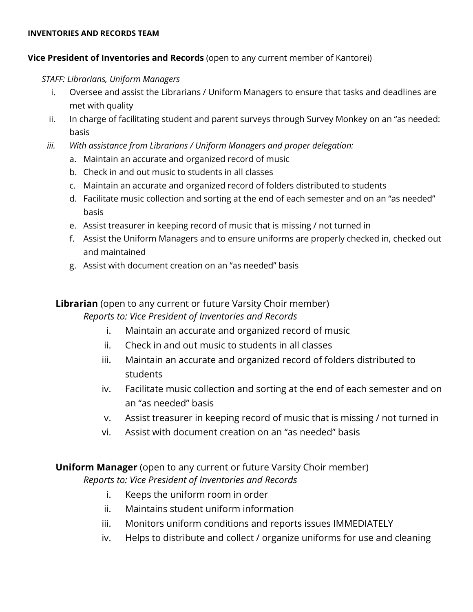#### **INVENTORIES AND RECORDS TEAM**

### **Vice President of Inventories and Records** (open to any current member of Kantorei)

#### *STAFF: Librarians, Uniform Managers*

- i. Oversee and assist the Librarians / Uniform Managers to ensure that tasks and deadlines are met with quality
- ii. In charge of facilitating student and parent surveys through Survey Monkey on an "as needed: basis
- *iii. With assistance from Librarians / Uniform Managers and proper delegation:* 
	- a. Maintain an accurate and organized record of music
	- b. Check in and out music to students in all classes
	- c. Maintain an accurate and organized record of folders distributed to students
	- d. Facilitate music collection and sorting at the end of each semester and on an "as needed" basis
	- e. Assist treasurer in keeping record of music that is missing / not turned in
	- f. Assist the Uniform Managers and to ensure uniforms are properly checked in, checked out and maintained
	- g. Assist with document creation on an "as needed" basis

# **Librarian** (open to any current or future Varsity Choir member)

## *Reports to: Vice President of Inventories and Records*

- i. Maintain an accurate and organized record of music
- ii. Check in and out music to students in all classes
- iii. Maintain an accurate and organized record of folders distributed to students
- iv. Facilitate music collection and sorting at the end of each semester and on an "as needed" basis
- v. Assist treasurer in keeping record of music that is missing / not turned in
- vi. Assist with document creation on an "as needed" basis

# **Uniform Manager** (open to any current or future Varsity Choir member) *Reports to: Vice President of Inventories and Records*

- i. Keeps the uniform room in order
- ii. Maintains student uniform information
- iii. Monitors uniform conditions and reports issues IMMEDIATELY
- iv. Helps to distribute and collect / organize uniforms for use and cleaning